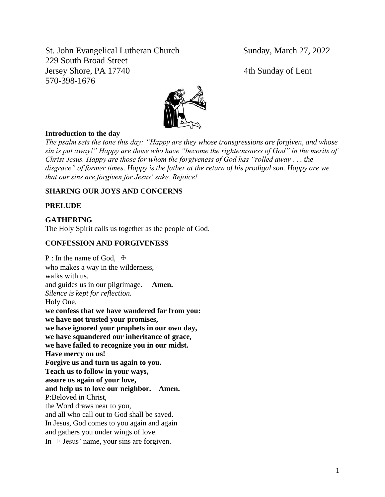St. John Evangelical Lutheran Church Sunday, March 27, 2022 229 South Broad Street Jersey Shore, PA 17740 4th Sunday of Lent 570-398-1676



#### **Introduction to the day**

*The psalm sets the tone this day: "Happy are they whose transgressions are forgiven, and whose sin is put away!" Happy are those who have "become the righteousness of God" in the merits of Christ Jesus. Happy are those for whom the forgiveness of God has "rolled away . . . the disgrace" of former times. Happy is the father at the return of his prodigal son. Happy are we that our sins are forgiven for Jesus' sake. Rejoice!*

# **SHARING OUR JOYS AND CONCERNS**

#### **PRELUDE**

**GATHERING** The Holy Spirit calls us together as the people of God.

#### **CONFESSION AND FORGIVENESS**

 $P$ : In the name of God,  $\pm$ who makes a way in the wilderness, walks with us, and guides us in our pilgrimage. **Amen.** *Silence is kept for reflection.* Holy One, **we confess that we have wandered far from you: we have not trusted your promises, we have ignored your prophets in our own day, we have squandered our inheritance of grace, we have failed to recognize you in our midst. Have mercy on us! Forgive us and turn us again to you. Teach us to follow in your ways, assure us again of your love, and help us to love our neighbor. Amen.** P:Beloved in Christ, the Word draws near to you, and all who call out to God shall be saved. In Jesus, God comes to you again and again and gathers you under wings of love. In  $+$  Jesus' name, your sins are forgiven.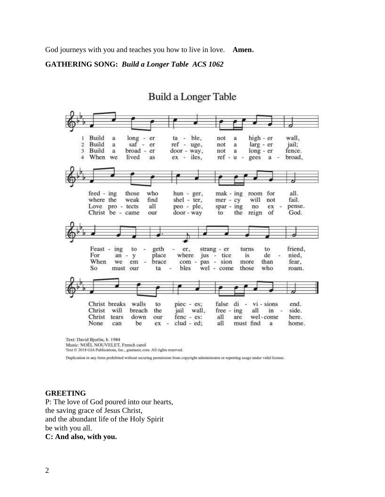God journeys with you and teaches you how to live in love. **Amen.**

**GATHERING SONG:** *Build a Longer Table ACS 1062*

# **Build a Longer Table**



Music: NOËL NOUVELET, French carol Text © 2018 GIA Publications, Inc., giamusic.com. All rights reserved.

Duplication in any form prohibited without securing permission from copyright administrator or reporting usage under valid license.

#### **GREETING**

P: The love of God poured into our hearts, the saving grace of Jesus Christ, and the abundant life of the Holy Spirit be with you all. **C: And also, with you.**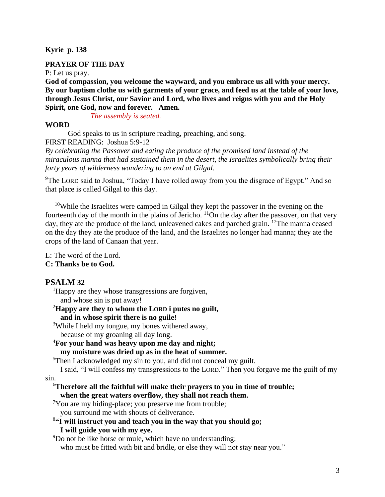#### **Kyrie p. 138**

#### **PRAYER OF THE DAY**

P: Let us pray.

**God of compassion, you welcome the wayward, and you embrace us all with your mercy. By our baptism clothe us with garments of your grace, and feed us at the table of your love, through Jesus Christ, our Savior and Lord, who lives and reigns with you and the Holy Spirit, one God, now and forever. Amen.**

*The assembly is seated.*

#### **WORD**

God speaks to us in scripture reading, preaching, and song. FIRST READING: Joshua 5:9-12

*By celebrating the Passover and eating the produce of the promised land instead of the miraculous manna that had sustained them in the desert, the Israelites symbolically bring their forty years of wilderness wandering to an end at Gilgal.*

<sup>9</sup>The LORD said to Joshua, "Today I have rolled away from you the disgrace of Egypt." And so that place is called Gilgal to this day.

<sup>10</sup>While the Israelites were camped in Gilgal they kept the passover in the evening on the fourteenth day of the month in the plains of Jericho.  $\frac{11}{\text{On}}$  the day after the passover, on that very day, they ate the produce of the land, unleavened cakes and parched grain. <sup>12</sup>The manna ceased on the day they ate the produce of the land, and the Israelites no longer had manna; they ate the crops of the land of Canaan that year.

L: The word of the Lord. **C: Thanks be to God.**

# **PSALM 32**

<sup>1</sup>Happy are they whose transgressions are forgiven,

and whose sin is put away!

#### <sup>2</sup>**Happy are they to whom the LORD i putes no guilt, and in whose spirit there is no guile!**

<sup>3</sup>While I held my tongue, my bones withered away,

because of my groaning all day long.

<sup>4</sup>**For your hand was heavy upon me day and night; my moisture was dried up as in the heat of summer.**

<sup>5</sup>Then I acknowledged my sin to you, and did not conceal my guilt.

I said, "I will confess my transgressions to the LORD." Then you forgave me the guilt of my sin.

#### <sup>6</sup>**Therefore all the faithful will make their prayers to you in time of trouble; when the great waters overflow, they shall not reach them.**

<sup>7</sup>You are my hiding-place; you preserve me from trouble;

you surround me with shouts of deliverance.

# 8 **"I will instruct you and teach you in the way that you should go;**

# **I will guide you with my eye.**

<sup>9</sup>Do not be like horse or mule, which have no understanding;

who must be fitted with bit and bridle, or else they will not stay near you."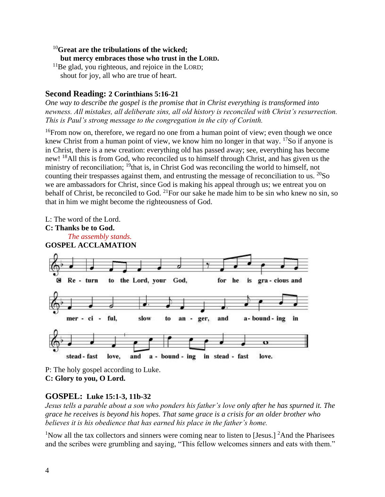# <sup>10</sup>**Great are the tribulations of the wicked; but mercy embraces those who trust in the LORD.**

 $11$ Be glad, you righteous, and rejoice in the LORD; shout for joy, all who are true of heart.

# **Second Reading: 2 Corinthians 5:16-21**

*One way to describe the gospel is the promise that in Christ everything is transformed into newness. All mistakes, all deliberate sins, all old history is reconciled with Christ's resurrection. This is Paul's strong message to the congregation in the city of Corinth.*

 $16$ <sup>16</sup>From now on, therefore, we regard no one from a human point of view; even though we once knew Christ from a human point of view, we know him no longer in that way.  $17$ So if anyone is in Christ, there is a new creation: everything old has passed away; see, everything has become new! <sup>18</sup>All this is from God, who reconciled us to himself through Christ, and has given us the ministry of reconciliation; <sup>19</sup>that is, in Christ God was reconciling the world to himself, not counting their trespasses against them, and entrusting the message of reconciliation to us. <sup>20</sup>So we are ambassadors for Christ, since God is making his appeal through us; we entreat you on behalf of Christ, be reconciled to God.  $^{21}$ For our sake he made him to be sin who knew no sin, so that in him we might become the righteousness of God.



P: The holy gospel according to Luke. **C: Glory to you, O Lord.**

# **GOSPEL: Luke 15:1-3, 11b-32**

*Jesus tells a parable about a son who ponders his father's love only after he has spurned it. The grace he receives is beyond his hopes. That same grace is a crisis for an older brother who believes it is his obedience that has earned his place in the father's home.*

<sup>1</sup>Now all the tax collectors and sinners were coming near to listen to [Jesus.] <sup>2</sup>And the Pharisees and the scribes were grumbling and saying, "This fellow welcomes sinners and eats with them."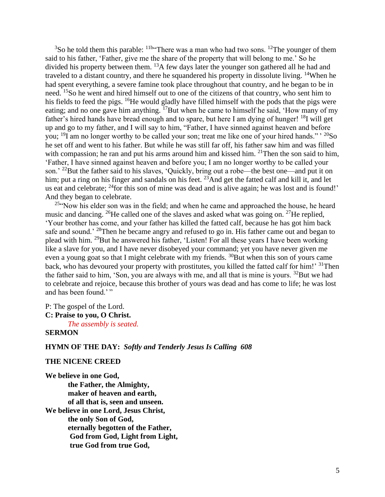$3$ So he told them this parable:  $11b$ <sup>-</sup>There was a man who had two sons. <sup>12</sup>The younger of them said to his father, 'Father, give me the share of the property that will belong to me.' So he divided his property between them.  $^{13}A$  few days later the younger son gathered all he had and traveled to a distant country, and there he squandered his property in dissolute living. <sup>14</sup>When he had spent everything, a severe famine took place throughout that country, and he began to be in need. <sup>15</sup>So he went and hired himself out to one of the citizens of that country, who sent him to his fields to feed the pigs. <sup>16</sup>He would gladly have filled himself with the pods that the pigs were eating; and no one gave him anything. <sup>17</sup>But when he came to himself he said, 'How many of my father's hired hands have bread enough and to spare, but here I am dying of hunger! <sup>18</sup>I will get up and go to my father, and I will say to him, "Father, I have sinned against heaven and before you;  $^{19}$ I am no longer worthy to be called your son; treat me like one of your hired hands." $^{19}$ So he set off and went to his father. But while he was still far off, his father saw him and was filled with compassion; he ran and put his arms around him and kissed him.  $21$ Then the son said to him, 'Father, I have sinned against heaven and before you; I am no longer worthy to be called your son.' <sup>22</sup>But the father said to his slaves, 'Quickly, bring out a robe—the best one—and put it on him; put a ring on his finger and sandals on his feet. <sup>23</sup>And get the fatted calf and kill it, and let us eat and celebrate; <sup>24</sup>for this son of mine was dead and is alive again; he was lost and is found!' And they began to celebrate.

<sup>25"</sup>Now his elder son was in the field; and when he came and approached the house, he heard music and dancing. <sup>26</sup>He called one of the slaves and asked what was going on. <sup>27</sup>He replied, 'Your brother has come, and your father has killed the fatted calf, because he has got him back safe and sound.<sup>' 28</sup>Then he became angry and refused to go in. His father came out and began to plead with him. <sup>29</sup>But he answered his father, 'Listen! For all these years I have been working like a slave for you, and I have never disobeyed your command; yet you have never given me even a young goat so that I might celebrate with my friends.  $30$ But when this son of yours came back, who has devoured your property with prostitutes, you killed the fatted calf for him!' <sup>31</sup>Then the father said to him, 'Son, you are always with me, and all that is mine is yours.  $32$ But we had to celebrate and rejoice, because this brother of yours was dead and has come to life; he was lost and has been found.'"

P: The gospel of the Lord.

# **C: Praise to you, O Christ.**

*The assembly is seated.*

# **SERMON**

# **HYMN OF THE DAY:** *Softly and Tenderly Jesus Is Calling 608*

#### **THE NICENE CREED**

**We believe in one God, the Father, the Almighty, maker of heaven and earth, of all that is, seen and unseen. We believe in one Lord, Jesus Christ, the only Son of God, eternally begotten of the Father, God from God, Light from Light, true God from true God,**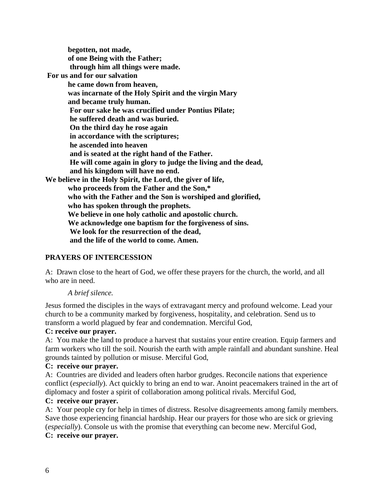**begotten, not made, of one Being with the Father; through him all things were made. For us and for our salvation he came down from heaven, was incarnate of the Holy Spirit and the virgin Mary and became truly human. For our sake he was crucified under Pontius Pilate; he suffered death and was buried. On the third day he rose again in accordance with the scriptures; he ascended into heaven and is seated at the right hand of the Father. He will come again in glory to judge the living and the dead, and his kingdom will have no end. We believe in the Holy Spirit, the Lord, the giver of life, who proceeds from the Father and the Son,\* who with the Father and the Son is worshiped and glorified, who has spoken through the prophets. We believe in one holy catholic and apostolic church. We acknowledge one baptism for the forgiveness of sins. We look for the resurrection of the dead, and the life of the world to come. Amen.** 

# **PRAYERS OF INTERCESSION**

A: Drawn close to the heart of God, we offer these prayers for the church, the world, and all who are in need.

# *A brief silence.*

Jesus formed the disciples in the ways of extravagant mercy and profound welcome. Lead your church to be a community marked by forgiveness, hospitality, and celebration. Send us to transform a world plagued by fear and condemnation. Merciful God,

#### **C: receive our prayer.**

A: You make the land to produce a harvest that sustains your entire creation. Equip farmers and farm workers who till the soil. Nourish the earth with ample rainfall and abundant sunshine. Heal grounds tainted by pollution or misuse. Merciful God,

#### **C: receive our prayer.**

A: Countries are divided and leaders often harbor grudges. Reconcile nations that experience conflict (*especially*). Act quickly to bring an end to war. Anoint peacemakers trained in the art of diplomacy and foster a spirit of collaboration among political rivals. Merciful God,

# **C: receive our prayer.**

A: Your people cry for help in times of distress. Resolve disagreements among family members. Save those experiencing financial hardship. Hear our prayers for those who are sick or grieving (*especially*). Console us with the promise that everything can become new. Merciful God, **C: receive our prayer.**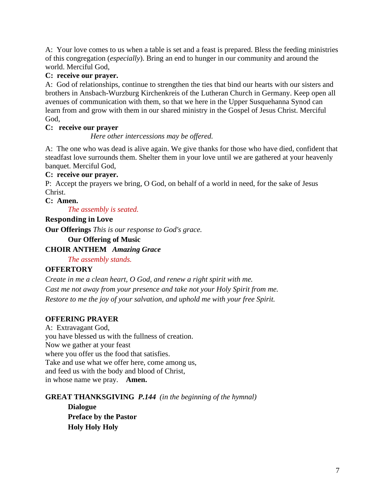A: Your love comes to us when a table is set and a feast is prepared. Bless the feeding ministries of this congregation (*especially*). Bring an end to hunger in our community and around the world. Merciful God,

# **C: receive our prayer.**

A: God of relationships, continue to strengthen the ties that bind our hearts with our sisters and brothers in Ansbach-Wurzburg Kirchenkreis of the Lutheran Church in Germany. Keep open all avenues of communication with them, so that we here in the Upper Susquehanna Synod can learn from and grow with them in our shared ministry in the Gospel of Jesus Christ. Merciful God,

# **C: receive our prayer**

*Here other intercessions may be offered.*

A: The one who was dead is alive again. We give thanks for those who have died, confident that steadfast love surrounds them. Shelter them in your love until we are gathered at your heavenly banquet. Merciful God,

# **C: receive our prayer.**

P: Accept the prayers we bring, O God, on behalf of a world in need, for the sake of Jesus Christ.

#### **C: Amen.**

*The assembly is seated.* 

# **Responding in Love**

**Our Offerings** *This is our response to God's grace.*

**Our Offering of Music** 

# **CHOIR ANTHEM** *Amazing Grace*

*The assembly stands.*

# **OFFERTORY**

*Create in me a clean heart, O God, and renew a right spirit with me. Cast me not away from your presence and take not your Holy Spirit from me. Restore to me the joy of your salvation, and uphold me with your free Spirit.*

# **OFFERING PRAYER**

A: Extravagant God, you have blessed us with the fullness of creation. Now we gather at your feast where you offer us the food that satisfies. Take and use what we offer here, come among us, and feed us with the body and blood of Christ, in whose name we pray. **Amen.**

# **GREAT THANKSGIVING** *P.144 (in the beginning of the hymnal)*

**Dialogue Preface by the Pastor Holy Holy Holy**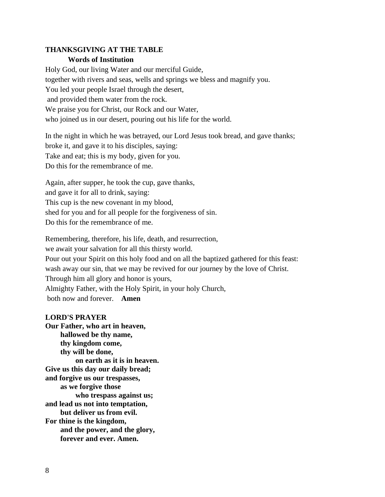# **THANKSGIVING AT THE TABLE Words of Institution**

Holy God, our living Water and our merciful Guide, together with rivers and seas, wells and springs we bless and magnify you. You led your people Israel through the desert, and provided them water from the rock. We praise you for Christ, our Rock and our Water, who joined us in our desert, pouring out his life for the world.

In the night in which he was betrayed, our Lord Jesus took bread, and gave thanks; broke it, and gave it to his disciples, saying: Take and eat; this is my body, given for you. Do this for the remembrance of me.

Again, after supper, he took the cup, gave thanks, and gave it for all to drink, saying: This cup is the new covenant in my blood, shed for you and for all people for the forgiveness of sin. Do this for the remembrance of me.

Remembering, therefore, his life, death, and resurrection, we await your salvation for all this thirsty world. Pour out your Spirit on this holy food and on all the baptized gathered for this feast: wash away our sin, that we may be revived for our journey by the love of Christ. Through him all glory and honor is yours, Almighty Father, with the Holy Spirit, in your holy Church, both now and forever. **Amen**

# **LORD'S PRAYER**

**Our Father, who art in heaven, hallowed be thy name, thy kingdom come, thy will be done, on earth as it is in heaven. Give us this day our daily bread; and forgive us our trespasses, as we forgive those who trespass against us; and lead us not into temptation, but deliver us from evil. For thine is the kingdom, and the power, and the glory, forever and ever. Amen.**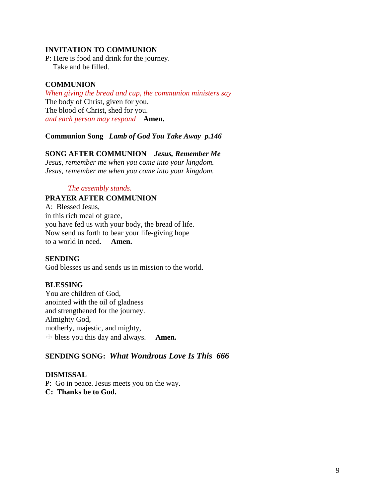#### **INVITATION TO COMMUNION**

P: Here is food and drink for the journey. Take and be filled.

#### **COMMUNION**

*When giving the bread and cup, the communion ministers say* The body of Christ, given for you. The blood of Christ, shed for you. *and each person may respond* **Amen.**

**Communion Song** *Lamb of God You Take Away p.146*

#### **SONG AFTER COMMUNION** *Jesus, Remember Me*

*Jesus, remember me when you come into your kingdom. Jesus, remember me when you come into your kingdom.*

#### *The assembly stands.*

#### **PRAYER AFTER COMMUNION**

A: Blessed Jesus, in this rich meal of grace, you have fed us with your body, the bread of life. Now send us forth to bear your life-giving hope to a world in need. **Amen.**

#### **SENDING**

God blesses us and sends us in mission to the world.

#### **BLESSING**

You are children of God, anointed with the oil of gladness and strengthened for the journey. Almighty God, motherly, majestic, and mighty, ☩ bless you this day and always. **Amen.**

# **SENDING SONG:** *What Wondrous Love Is This 666*

#### **DISMISSAL**

P: Go in peace. Jesus meets you on the way. **C: Thanks be to God.**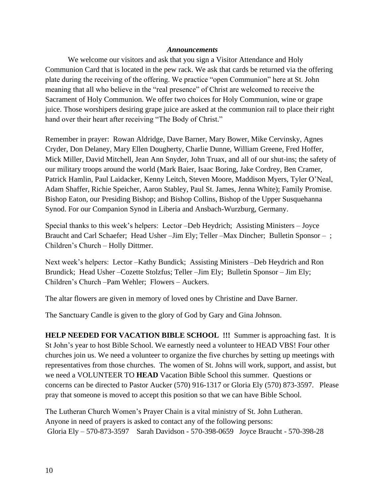#### *Announcements*

We welcome our visitors and ask that you sign a Visitor Attendance and Holy Communion Card that is located in the pew rack. We ask that cards be returned via the offering plate during the receiving of the offering. We practice "open Communion" here at St. John meaning that all who believe in the "real presence" of Christ are welcomed to receive the Sacrament of Holy Communion. We offer two choices for Holy Communion, wine or grape juice. Those worshipers desiring grape juice are asked at the communion rail to place their right hand over their heart after receiving "The Body of Christ."

Remember in prayer: Rowan Aldridge, Dave Barner, Mary Bower, Mike Cervinsky, Agnes Cryder, Don Delaney, Mary Ellen Dougherty, Charlie Dunne, William Greene, Fred Hoffer, Mick Miller, David Mitchell, Jean Ann Snyder, John Truax, and all of our shut-ins; the safety of our military troops around the world (Mark Baier, Isaac Boring, Jake Cordrey, Ben Cramer, Patrick Hamlin, Paul Laidacker, Kenny Leitch, Steven Moore, Maddison Myers, Tyler O'Neal, Adam Shaffer, Richie Speicher, Aaron Stabley, Paul St. James, Jenna White); Family Promise. Bishop Eaton, our Presiding Bishop; and Bishop Collins, Bishop of the Upper Susquehanna Synod. For our Companion Synod in Liberia and Ansbach-Wurzburg, Germany.

Special thanks to this week's helpers: Lector –Deb Heydrich; Assisting Ministers – Joyce Braucht and Carl Schaefer; Head Usher –Jim Ely; Teller –Max Dincher; Bulletin Sponsor – ; Children's Church – Holly Dittmer.

Next week's helpers: Lector –Kathy Bundick; Assisting Ministers –Deb Heydrich and Ron Brundick; Head Usher –Cozette Stolzfus; Teller –Jim Ely; Bulletin Sponsor – Jim Ely; Children's Church –Pam Wehler; Flowers – Auckers.

The altar flowers are given in memory of loved ones by Christine and Dave Barner.

The Sanctuary Candle is given to the glory of God by Gary and Gina Johnson.

**HELP NEEDED FOR VACATION BIBLE SCHOOL !!!** Summer is approaching fast. It is St John's year to host Bible School. We earnestly need a volunteer to HEAD VBS! Four other churches join us. We need a volunteer to organize the five churches by setting up meetings with representatives from those churches. The women of St. Johns will work, support, and assist, but we need a VOLUNTEER TO **HEAD** Vacation Bible School this summer. Questions or concerns can be directed to Pastor Aucker (570) 916-1317 or Gloria Ely (570) 873-3597. Please pray that someone is moved to accept this position so that we can have Bible School.

The Lutheran Church Women's Prayer Chain is a vital ministry of St. John Lutheran. Anyone in need of prayers is asked to contact any of the following persons: Gloria Ely – 570-873-3597 Sarah Davidson - 570-398-0659 Joyce Braucht - 570-398-28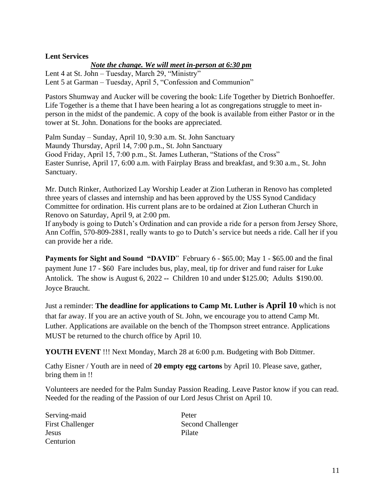#### **Lent Services**

*Note the change. We will meet in-person at 6:30 pm*

Lent 4 at St. John – Tuesday, March 29, "Ministry" Lent 5 at Garman – Tuesday, April 5, "Confession and Communion"

Pastors Shumway and Aucker will be covering the book: Life Together by Dietrich Bonhoeffer. Life Together is a theme that I have been hearing a lot as congregations struggle to meet inperson in the midst of the pandemic. A copy of the book is available from either Pastor or in the tower at St. John. Donations for the books are appreciated.

Palm Sunday – Sunday, April 10, 9:30 a.m. St. John Sanctuary Maundy Thursday, April 14, 7:00 p.m., St. John Sanctuary Good Friday, April 15, 7:00 p.m., St. James Lutheran, "Stations of the Cross" Easter Sunrise, April 17, 6:00 a.m. with Fairplay Brass and breakfast, and 9:30 a.m., St. John Sanctuary.

Mr. Dutch Rinker, Authorized Lay Worship Leader at Zion Lutheran in Renovo has completed three years of classes and internship and has been approved by the USS Synod Candidacy Committee for ordination. His current plans are to be ordained at Zion Lutheran Church in Renovo on Saturday, April 9, at 2:00 pm.

If anybody is going to Dutch's Ordination and can provide a ride for a person from Jersey Shore, Ann Coffin, 570-809-2881, really wants to go to Dutch's service but needs a ride. Call her if you can provide her a ride.

Payments for Sight and Sound "DAVID" February 6 - \$65.00; May 1 - \$65.00 and the final payment June 17 - \$60 Fare includes bus, play, meal, tip for driver and fund raiser for Luke Antolick. The show is August 6, 2022 **--** Children 10 and under \$125.00; Adults \$190.00. Joyce Braucht.

Just a reminder: **The deadline for applications to Camp Mt. Luther is April 10** which is not that far away. If you are an active youth of St. John, we encourage you to attend Camp Mt. Luther. Applications are available on the bench of the Thompson street entrance. Applications MUST be returned to the church office by April 10.

**YOUTH EVENT** !!! Next Monday, March 28 at 6:00 p.m. Budgeting with Bob Dittmer.

Cathy Eisner / Youth are in need of **20 empty egg cartons** by April 10. Please save, gather, bring them in !!

Volunteers are needed for the Palm Sunday Passion Reading. Leave Pastor know if you can read. Needed for the reading of the Passion of our Lord Jesus Christ on April 10.

Serving-maid Peter Jesus Pilate Centurion

First Challenger Second Challenger